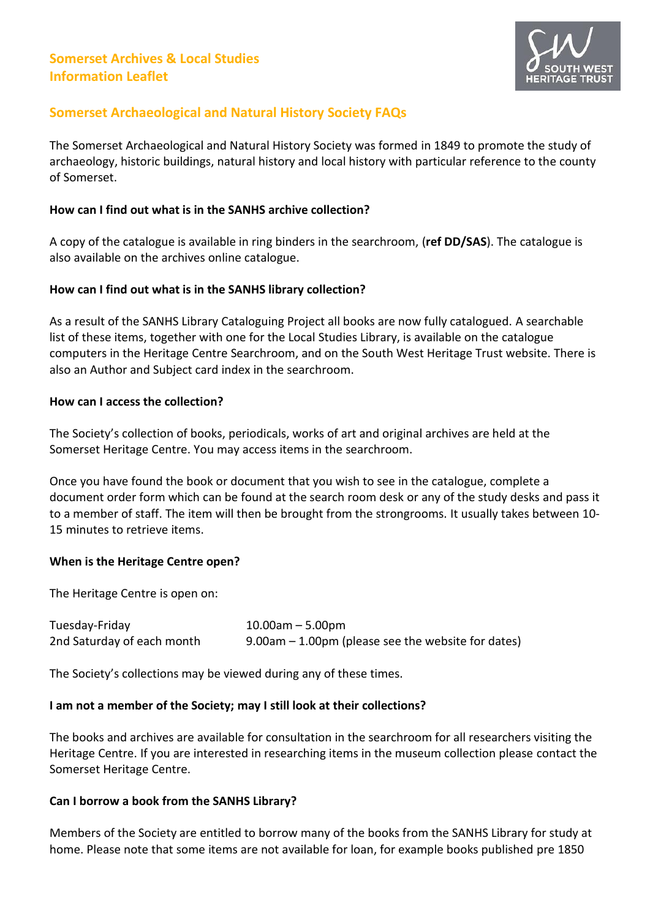

# **Somerset Archaeological and Natural History Society FAQs**

The Somerset Archaeological and Natural History Society was formed in 1849 to promote the study of archaeology, historic buildings, natural history and local history with particular reference to the county of Somerset.

#### **How can I find out what is in the SANHS archive collection?**

A copy of the catalogue is available in ring binders in the searchroom, (**ref DD/SAS**). The catalogue is also available on the archives online catalogue.

#### **How can I find out what is in the SANHS library collection?**

As a result of the SANHS Library Cataloguing Project all books are now fully catalogued. A searchable list of these items, together with one for the Local Studies Library, is available on the catalogue computers in the Heritage Centre Searchroom, and on the South West Heritage Trust website. There is also an Author and Subject card index in the searchroom.

#### **How can I access the collection?**

The Society's collection of books, periodicals, works of art and original archives are held at the Somerset Heritage Centre. You may access items in the searchroom.

Once you have found the book or document that you wish to see in the catalogue, complete a document order form which can be found at the search room desk or any of the study desks and pass it to a member of staff. The item will then be brought from the strongrooms. It usually takes between 10- 15 minutes to retrieve items.

### **When is the Heritage Centre open?**

The Heritage Centre is open on:

| Tuesday-Friday             | $10.00$ am $-5.00$ pm                              |
|----------------------------|----------------------------------------------------|
| 2nd Saturday of each month | 9.00am – 1.00pm (please see the website for dates) |

The Society's collections may be viewed during any of these times.

#### **I am not a member of the Society; may I still look at their collections?**

The books and archives are available for consultation in the searchroom for all researchers visiting the Heritage Centre. If you are interested in researching items in the museum collection please contact the Somerset Heritage Centre.

### **Can I borrow a book from the SANHS Library?**

Members of the Society are entitled to borrow many of the books from the SANHS Library for study at home. Please note that some items are not available for loan, for example books published pre 1850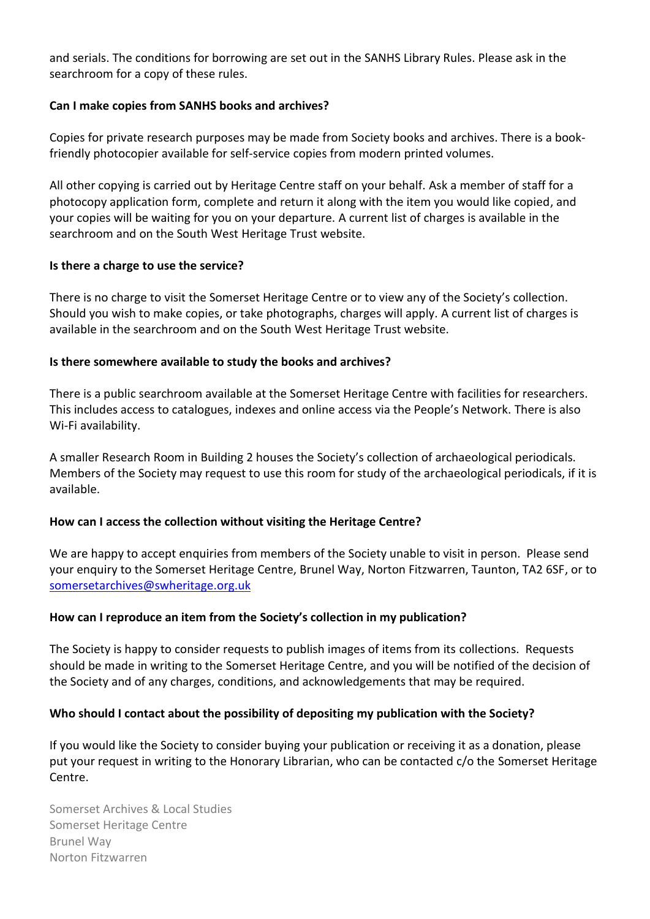and serials. The conditions for borrowing are set out in the SANHS Library Rules. Please ask in the searchroom for a copy of these rules.

### **Can I make copies from SANHS books and archives?**

Copies for private research purposes may be made from Society books and archives. There is a bookfriendly photocopier available for self-service copies from modern printed volumes.

All other copying is carried out by Heritage Centre staff on your behalf. Ask a member of staff for a photocopy application form, complete and return it along with the item you would like copied, and your copies will be waiting for you on your departure. A current list of charges is available in the searchroom and on the South West Heritage Trust website.

### **Is there a charge to use the service?**

There is no charge to visit the Somerset Heritage Centre or to view any of the Society's collection. Should you wish to make copies, or take photographs, charges will apply. A current list of charges is available in the searchroom and on the South West Heritage Trust website.

### **Is there somewhere available to study the books and archives?**

There is a public searchroom available at the Somerset Heritage Centre with facilities for researchers. This includes access to catalogues, indexes and online access via the People's Network. There is also Wi-Fi availability.

A smaller Research Room in Building 2 houses the Society's collection of archaeological periodicals. Members of the Society may request to use this room for study of the archaeological periodicals, if it is available.

# **How can I access the collection without visiting the Heritage Centre?**

We are happy to accept enquiries from members of the Society unable to visit in person. Please send your enquiry to the Somerset Heritage Centre, Brunel Way, Norton Fitzwarren, Taunton, TA2 6SF, or to [somersetarchives@swheritage.org.uk](mailto:somersetarchives@swheritage.org.uk)

# **How can I reproduce an item from the Society's collection in my publication?**

The Society is happy to consider requests to publish images of items from its collections. Requests should be made in writing to the Somerset Heritage Centre, and you will be notified of the decision of the Society and of any charges, conditions, and acknowledgements that may be required.

### **Who should I contact about the possibility of depositing my publication with the Society?**

If you would like the Society to consider buying your publication or receiving it as a donation, please put your request in writing to the Honorary Librarian, who can be contacted c/o the Somerset Heritage Centre.

Somerset Archives & Local Studies Somerset Heritage Centre Brunel Way Norton Fitzwarren